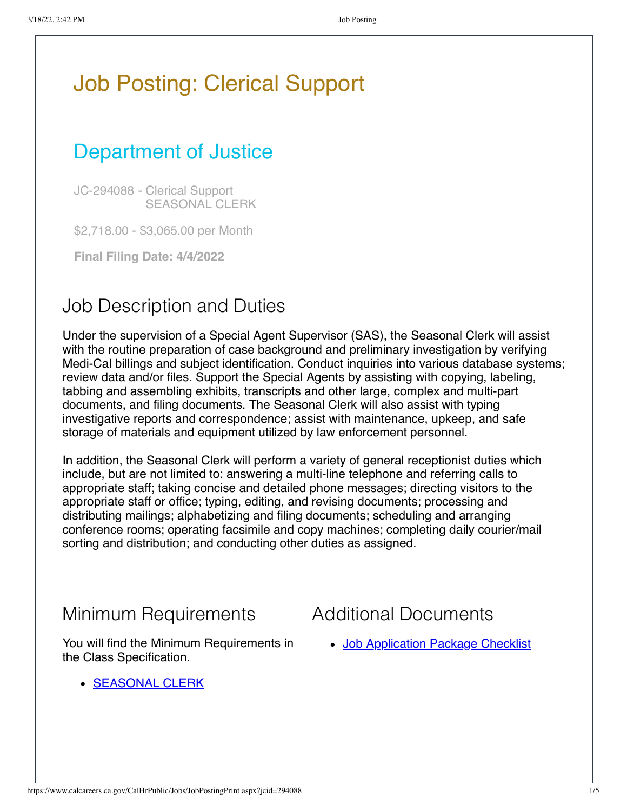# Job Posting: Clerical Support

### Department of Justice

JC-294088 - Clerical Support SEASONAL CLERK

\$2,718.00 - \$3,065.00 per Month

**Final Filing Date: 4/4/2022**

### Job Description and Duties

Under the supervision of a Special Agent Supervisor (SAS), the Seasonal Clerk will assist with the routine preparation of case background and preliminary investigation by verifying Medi-Cal billings and subject identification. Conduct inquiries into various database systems; review data and/or files. Support the Special Agents by assisting with copying, labeling, tabbing and assembling exhibits, transcripts and other large, complex and multi-part documents, and filing documents. The Seasonal Clerk will also assist with typing investigative reports and correspondence; assist with maintenance, upkeep, and safe storage of materials and equipment utilized by law enforcement personnel.

In addition, the Seasonal Clerk will perform a variety of general receptionist duties which include, but are not limited to: answering a multi-line telephone and referring calls to appropriate staff; taking concise and detailed phone messages; directing visitors to the appropriate staff or office; typing, editing, and revising documents; processing and distributing mailings; alphabetizing and filing documents; scheduling and arranging conference rooms; operating facsimile and copy machines; completing daily courier/mail sorting and distribution; and conducting other duties as assigned.

### Minimum Requirements

You will find the Minimum Requirements in the Class Specification.

**• [SEASONAL CLERK](https://hrnet.calhr.ca.gov/CalHRNet/SpecCrossReference.aspx?ClassID=1120)** 

### Additional Documents

• [Job Application Package Checklist](http://calcareers.ca.gov/CalHrPublic/Jobs/JobApplicationPackageChecklist.aspx?JobControlId=294088)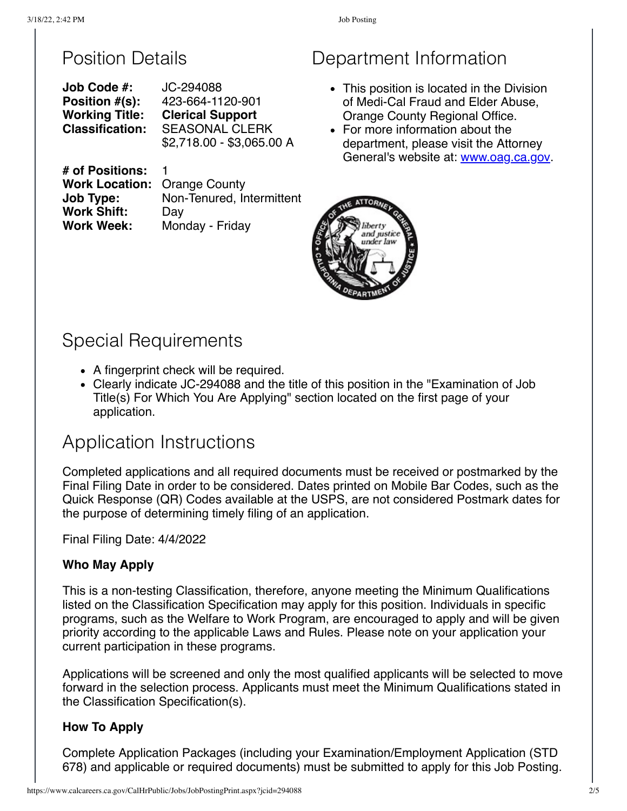### Position Details

| Job Code #:            | JC-294088                 |
|------------------------|---------------------------|
| Position #(s):         | 423-664-1120-901          |
| <b>Working Title:</b>  | <b>Clerical Support</b>   |
| <b>Classification:</b> | <b>SEASONAL CLERK</b>     |
|                        | \$2,718.00 - \$3,065.00 A |

**# of Positions:** 1 **Work Location:** Orange County **Job Type:** Non-Tenured, Intermittent **Work Shift:** Day **Work Week:** Monday - Friday

# Department Information

- This position is located in the Division of Medi-Cal Fraud and Elder Abuse, Orange County Regional Office.
- For more information about the department, please visit the Attorney General's website at: [www.oag.ca.gov.](http://www.oag.ca.gov/)



## Special Requirements

- A fingerprint check will be required.
- Clearly indicate JC-294088 and the title of this position in the "Examination of Job Title(s) For Which You Are Applying" section located on the first page of your application.

## Application Instructions

Completed applications and all required documents must be received or postmarked by the Final Filing Date in order to be considered. Dates printed on Mobile Bar Codes, such as the Quick Response (QR) Codes available at the USPS, are not considered Postmark dates for the purpose of determining timely filing of an application.

Final Filing Date: 4/4/2022

### **Who May Apply**

This is a non-testing Classification, therefore, anyone meeting the Minimum Qualifications listed on the Classification Specification may apply for this position. Individuals in specific programs, such as the Welfare to Work Program, are encouraged to apply and will be given priority according to the applicable Laws and Rules. Please note on your application your current participation in these programs.

Applications will be screened and only the most qualified applicants will be selected to move forward in the selection process. Applicants must meet the Minimum Qualifications stated in the Classification Specification(s).

### **How To Apply**

Complete Application Packages (including your Examination/Employment Application (STD 678) and applicable or required documents) must be submitted to apply for this Job Posting.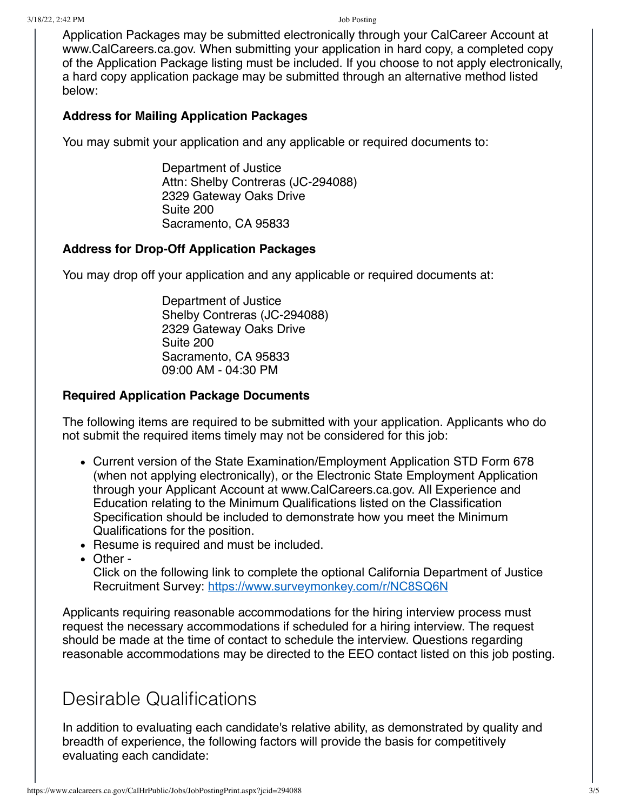Application Packages may be submitted electronically through your CalCareer Account at www.CalCareers.ca.gov. When submitting your application in hard copy, a completed copy of the Application Package listing must be included. If you choose to not apply electronically, a hard copy application package may be submitted through an alternative method listed below:

#### **Address for Mailing Application Packages**

You may submit your application and any applicable or required documents to:

Department of Justice Attn: Shelby Contreras (JC-294088) 2329 Gateway Oaks Drive Suite 200 Sacramento, CA 95833

#### **Address for Drop-Off Application Packages**

You may drop off your application and any applicable or required documents at:

Department of Justice Shelby Contreras (JC-294088) 2329 Gateway Oaks Drive Suite 200 Sacramento, CA 95833 09:00 AM - 04:30 PM

#### **Required Application Package Documents**

The following items are required to be submitted with your application. Applicants who do not submit the required items timely may not be considered for this job:

- Current version of the State Examination/Employment Application STD Form 678 (when not applying electronically), or the Electronic State Employment Application through your Applicant Account at www.CalCareers.ca.gov. All Experience and Education relating to the Minimum Qualifications listed on the Classification Specification should be included to demonstrate how you meet the Minimum Qualifications for the position.
- Resume is required and must be included.
- Other -

Click on the following link to complete the optional California Department of Justice Recruitment Survey:<https://www.surveymonkey.com/r/NC8SQ6N>

Applicants requiring reasonable accommodations for the hiring interview process must request the necessary accommodations if scheduled for a hiring interview. The request should be made at the time of contact to schedule the interview. Questions regarding reasonable accommodations may be directed to the EEO contact listed on this job posting.

### Desirable Qualifications

In addition to evaluating each candidate's relative ability, as demonstrated by quality and breadth of experience, the following factors will provide the basis for competitively evaluating each candidate: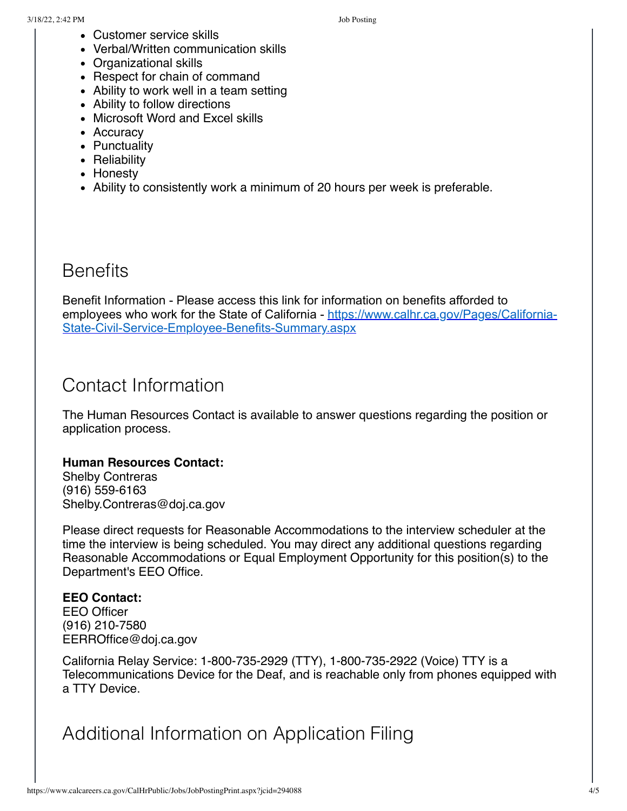- Customer service skills
- Verbal/Written communication skills
- Organizational skills
- Respect for chain of command
- Ability to work well in a team setting
- Ability to follow directions
- Microsoft Word and Excel skills
- Accuracy
- Punctuality
- Reliability
- Honesty
- Ability to consistently work a minimum of 20 hours per week is preferable.

### **Benefits**

Benefit Information - Please access this link for information on benefits afforded to [employees who work for the State of California - https://www.calhr.ca.gov/Pages/California-](https://www.calhr.ca.gov/Pages/California-State-Civil-Service-Employee-Benefits-Summary.aspx)State-Civil-Service-Employee-Benefits-Summary.aspx

### Contact Information

The Human Resources Contact is available to answer questions regarding the position or application process.

#### **Human Resources Contact:**

Shelby Contreras (916) 559-6163 Shelby.Contreras@doj.ca.gov

Please direct requests for Reasonable Accommodations to the interview scheduler at the time the interview is being scheduled. You may direct any additional questions regarding Reasonable Accommodations or Equal Employment Opportunity for this position(s) to the Department's EEO Office.

#### **EEO Contact:**

EEO Officer (916) 210-7580 EERROffice@doj.ca.gov

California Relay Service: 1-800-735-2929 (TTY), 1-800-735-2922 (Voice) TTY is a Telecommunications Device for the Deaf, and is reachable only from phones equipped with a TTY Device.

### Additional Information on Application Filing